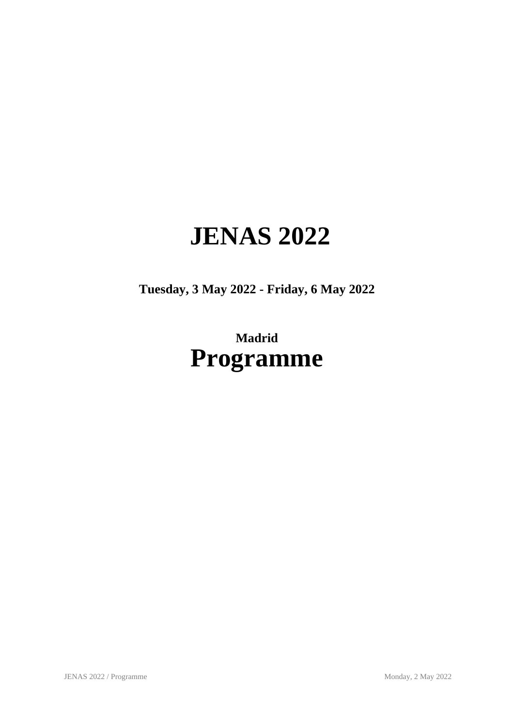# **JENAS 2022**

**Tuesday, 3 May 2022 - Friday, 6 May 2022**

## **Madrid Programme**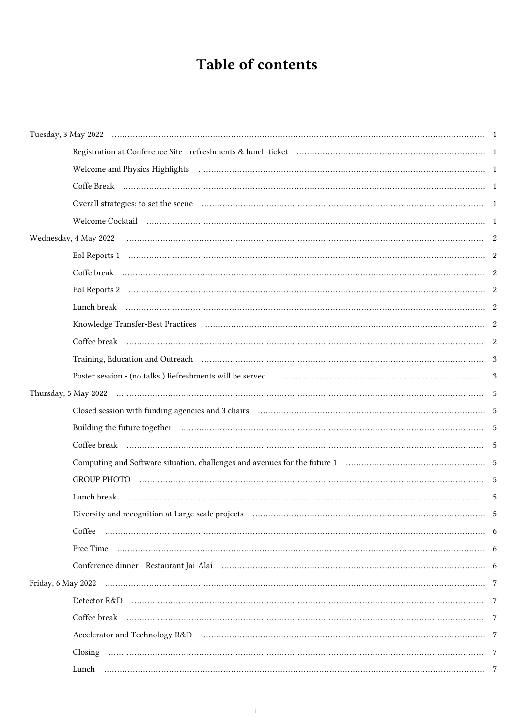### Table of contents

| Welcome and Physics Highlights (a) and the control of the control of the control of the control of the control of the control of the control of the control of the control of the control of the control of the control of the |  |
|--------------------------------------------------------------------------------------------------------------------------------------------------------------------------------------------------------------------------------|--|
|                                                                                                                                                                                                                                |  |
|                                                                                                                                                                                                                                |  |
|                                                                                                                                                                                                                                |  |
|                                                                                                                                                                                                                                |  |
| EoI Reports 1 minutes and contact the contract contact the contract of the contract of the contract of the contract of the contract of the contract of the contract of the contract of the contract of the contract of the con |  |
|                                                                                                                                                                                                                                |  |
|                                                                                                                                                                                                                                |  |
|                                                                                                                                                                                                                                |  |
|                                                                                                                                                                                                                                |  |
|                                                                                                                                                                                                                                |  |
|                                                                                                                                                                                                                                |  |
| Poster session - (no talks ) Refreshments will be served manufactured manufactured in the served of $3$                                                                                                                        |  |
|                                                                                                                                                                                                                                |  |
|                                                                                                                                                                                                                                |  |
| Building the future together manufacture contain contain the contract of the future of the future together manufacture of the state of the state of the state of the state of the state of the state of the state of the state |  |
|                                                                                                                                                                                                                                |  |
|                                                                                                                                                                                                                                |  |
|                                                                                                                                                                                                                                |  |
|                                                                                                                                                                                                                                |  |
|                                                                                                                                                                                                                                |  |
|                                                                                                                                                                                                                                |  |
|                                                                                                                                                                                                                                |  |
|                                                                                                                                                                                                                                |  |
|                                                                                                                                                                                                                                |  |
|                                                                                                                                                                                                                                |  |
|                                                                                                                                                                                                                                |  |
|                                                                                                                                                                                                                                |  |
|                                                                                                                                                                                                                                |  |
|                                                                                                                                                                                                                                |  |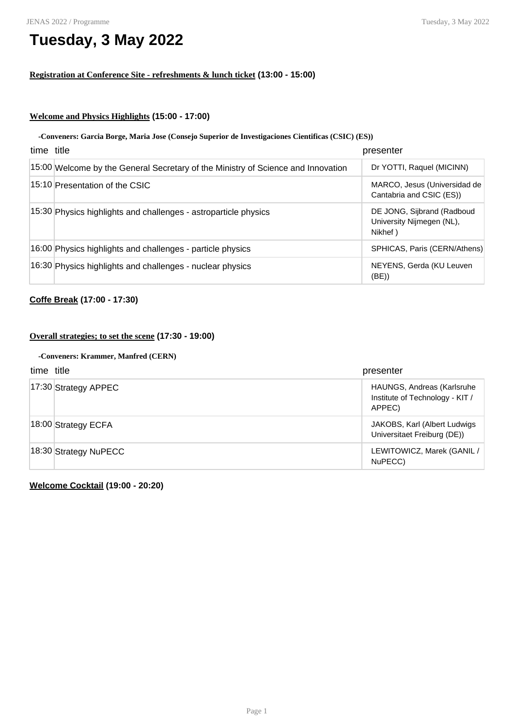### **Tuesday, 3 May 2022**

### **Registration at Conference Site - refreshments & lunch ticket (13:00 - 15:00)**

### **Welcome and Physics Highlights (15:00 - 17:00)**

### **-Conveners: Garcia Borge, Maria Jose (Consejo Superior de Investigaciones Cientificas (CSIC) (ES))**

| time title |                                                                                  | presenter                                                          |
|------------|----------------------------------------------------------------------------------|--------------------------------------------------------------------|
|            | 15:00 Welcome by the General Secretary of the Ministry of Science and Innovation | Dr YOTTI, Raquel (MICINN)                                          |
|            | 15:10 Presentation of the CSIC                                                   | MARCO, Jesus (Universidad de<br>Cantabria and CSIC (ES))           |
|            | 15:30 Physics highlights and challenges - astroparticle physics                  | DE JONG, Sijbrand (Radboud<br>University Nijmegen (NL),<br>Nikhef) |
|            | 16:00 Physics highlights and challenges - particle physics                       | SPHICAS, Paris (CERN/Athens)                                       |
|            | 16:30 Physics highlights and challenges - nuclear physics                        | NEYENS, Gerda (KU Leuven<br>(BE)                                   |

### **Coffe Break (17:00 - 17:30)**

### **Overall strategies; to set the scene (17:30 - 19:00)**

### **-Conveners: Krammer, Manfred (CERN)**

| time title |                           | presenter                                                               |
|------------|---------------------------|-------------------------------------------------------------------------|
|            | $ 17:30 $ Strategy APPEC  | HAUNGS, Andreas (Karlsruhe<br>Institute of Technology - KIT /<br>APPEC) |
|            | $ 18:00 $ Strategy ECFA   | JAKOBS, Karl (Albert Ludwigs)<br>Universitaet Freiburg (DE))            |
|            | $ 18:30 $ Strategy NuPECC | LEWITOWICZ, Marek (GANIL /<br>NuPECC)                                   |

**Welcome Cocktail (19:00 - 20:20)**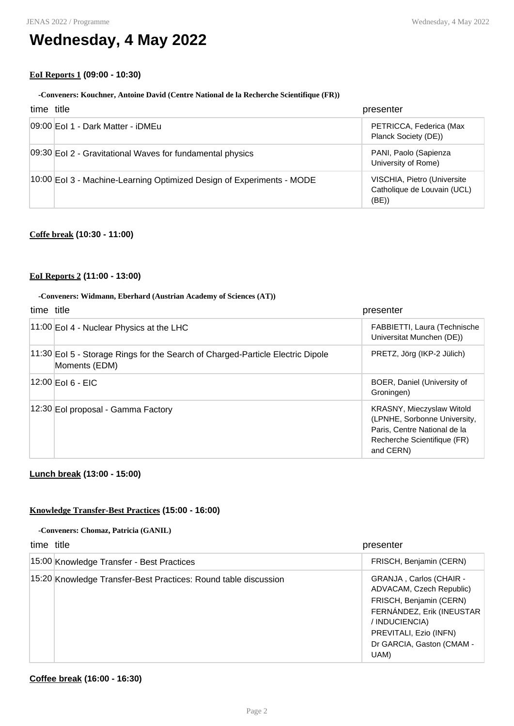### **Wednesday, 4 May 2022**

### **EoI Reports 1 (09:00 - 10:30)**

### **-Conveners: Kouchner, Antoine David (Centre National de la Recherche Scientifique (FR))**

| time title |                                                                       | presenter                                                          |
|------------|-----------------------------------------------------------------------|--------------------------------------------------------------------|
|            | 09:00 Eol 1 - Dark Matter - iDMEu                                     | PETRICCA, Federica (Max<br>Planck Society (DE))                    |
|            | 09:30 Eol 2 - Gravitational Waves for fundamental physics             | PANI, Paolo (Sapienza<br>University of Rome)                       |
|            | 10:00 EoI 3 - Machine-Learning Optimized Design of Experiments - MODE | VISCHIA, Pietro (Universite<br>Catholique de Louvain (UCL)<br>(BE) |

### **Coffe break (10:30 - 11:00)**

### **EoI Reports 2 (11:00 - 13:00)**

#### **-Conveners: Widmann, Eberhard (Austrian Academy of Sciences (AT))**

| time title |                                                                                                 | presenter                                                                                                                             |
|------------|-------------------------------------------------------------------------------------------------|---------------------------------------------------------------------------------------------------------------------------------------|
|            | $ 11:00 $ EoI 4 - Nuclear Physics at the LHC                                                    | FABBIETTI, Laura (Technische<br>Universitat Munchen (DE))                                                                             |
|            | 11:30 EoI 5 - Storage Rings for the Search of Charged-Particle Electric Dipole<br>Moments (EDM) | PRETZ, Jörg (IKP-2 Jülich)                                                                                                            |
|            | 12:00 Eol 6 - EIC                                                                               | BOER, Daniel (University of<br>Groningen)                                                                                             |
|            | 12:30 Eol proposal - Gamma Factory                                                              | KRASNY, Mieczyslaw Witold<br>(LPNHE, Sorbonne University,<br>Paris, Centre National de la<br>Recherche Scientifique (FR)<br>and CERN) |

### **Lunch break (13:00 - 15:00)**

### **Knowledge Transfer-Best Practices (15:00 - 16:00)**

#### **-Conveners: Chomaz, Patricia (GANIL)**

| time title |                                                                 | presenter                                                                                                                                                                                    |
|------------|-----------------------------------------------------------------|----------------------------------------------------------------------------------------------------------------------------------------------------------------------------------------------|
|            | 15:00 Knowledge Transfer - Best Practices                       | FRISCH, Benjamin (CERN)                                                                                                                                                                      |
|            | 15:20 Knowledge Transfer-Best Practices: Round table discussion | GRANJA, Carlos (CHAIR -<br>ADVACAM, Czech Republic)<br>FRISCH, Benjamin (CERN)<br>FERNÁNDEZ, Erik (INEUSTAR<br>/ INDUCIENCIA)<br>PREVITALI, Ezio (INFN)<br>Dr GARCIA, Gaston (CMAM -<br>UAM) |

### **Coffee break (16:00 - 16:30)**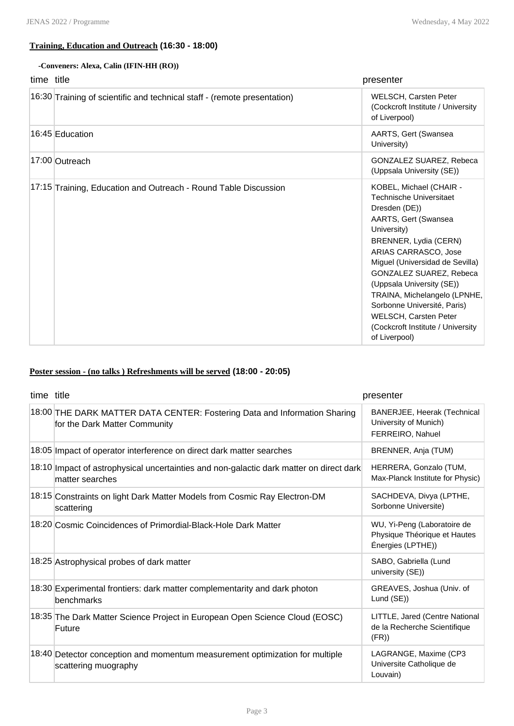### **Training, Education and Outreach (16:30 - 18:00)**

### **-Conveners: Alexa, Calin (IFIN-HH (RO))**

| time title |                                                                          | presenter                                                                                                                                                                                                                                                                                                                                                                                                   |
|------------|--------------------------------------------------------------------------|-------------------------------------------------------------------------------------------------------------------------------------------------------------------------------------------------------------------------------------------------------------------------------------------------------------------------------------------------------------------------------------------------------------|
|            | 16:30 Training of scientific and technical staff - (remote presentation) | WELSCH, Carsten Peter<br>(Cockcroft Institute / University<br>of Liverpool)                                                                                                                                                                                                                                                                                                                                 |
|            | 16:45 Education                                                          | AARTS, Gert (Swansea<br>University)                                                                                                                                                                                                                                                                                                                                                                         |
|            | 17:00 Outreach                                                           | <b>GONZALEZ SUAREZ, Rebeca</b><br>(Uppsala University (SE))                                                                                                                                                                                                                                                                                                                                                 |
|            | 17:15 Training, Education and Outreach - Round Table Discussion          | KOBEL, Michael (CHAIR -<br><b>Technische Universitaet</b><br>Dresden (DE))<br>AARTS, Gert (Swansea<br>University)<br>BRENNER, Lydia (CERN)<br>ARIAS CARRASCO, Jose<br>Miguel (Universidad de Sevilla)<br>GONZALEZ SUAREZ, Rebeca<br>(Uppsala University (SE))<br>TRAINA, Michelangelo (LPNHE,<br>Sorbonne Université, Paris)<br>WELSCH, Carsten Peter<br>(Cockcroft Institute / University<br>of Liverpool) |

### **Poster session - (no talks ) Refreshments will be served (18:00 - 20:05)**

| time title |                                                                                                                | presenter                                                                        |
|------------|----------------------------------------------------------------------------------------------------------------|----------------------------------------------------------------------------------|
|            | 18:00 THE DARK MATTER DATA CENTER: Fostering Data and Information Sharing<br>for the Dark Matter Community     | BANERJEE, Heerak (Technical<br>University of Munich)<br>FERREIRO, Nahuel         |
|            | 18:05 Impact of operator interference on direct dark matter searches                                           | BRENNER, Anja (TUM)                                                              |
|            | $[18:10]$ Impact of astrophysical uncertainties and non-galactic dark matter on direct dark<br>matter searches | HERRERA, Gonzalo (TUM,<br>Max-Planck Institute for Physic)                       |
|            | 18:15 Constraints on light Dark Matter Models from Cosmic Ray Electron-DM<br>scattering                        | SACHDEVA, Divya (LPTHE,<br>Sorbonne Universite)                                  |
|            | 18:20 Cosmic Coincidences of Primordial-Black-Hole Dark Matter                                                 | WU, Yi-Peng (Laboratoire de<br>Physique Théorique et Hautes<br>Énergies (LPTHE)) |
|            | 18:25 Astrophysical probes of dark matter                                                                      | SABO, Gabriella (Lund<br>university (SE))                                        |
|            | 18:30 Experimental frontiers: dark matter complementarity and dark photon<br>benchmarks                        | GREAVES, Joshua (Univ. of<br>Lund (SE))                                          |
|            | 18:35 The Dark Matter Science Project in European Open Science Cloud (EOSC)<br>Future                          | LITTLE, Jared (Centre National<br>de la Recherche Scientifique<br>(FR)           |
|            | 18:40 Detector conception and momentum measurement optimization for multiple<br>scattering muography           | LAGRANGE, Maxime (CP3<br>Universite Catholique de<br>Louvain)                    |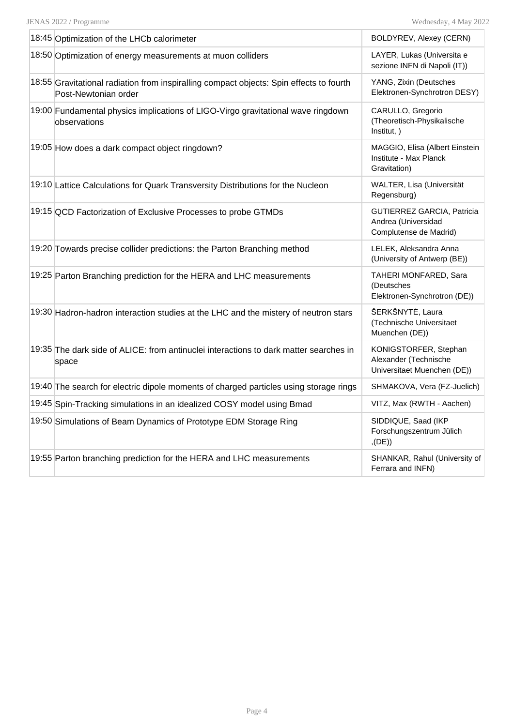| 18:45 Optimization of the LHCb calorimeter                                                                      | BOLDYREV, Alexey (CERN)                                                       |
|-----------------------------------------------------------------------------------------------------------------|-------------------------------------------------------------------------------|
| 18:50 Optimization of energy measurements at muon colliders                                                     | LAYER, Lukas (Universita e<br>sezione INFN di Napoli (IT))                    |
| 18:55 Gravitational radiation from inspiralling compact objects: Spin effects to fourth<br>Post-Newtonian order | YANG, Zixin (Deutsches<br>Elektronen-Synchrotron DESY)                        |
| 19:00 Fundamental physics implications of LIGO-Virgo gravitational wave ringdown<br>observations                | CARULLO, Gregorio<br>(Theoretisch-Physikalische<br>Institut, )                |
| 19:05 How does a dark compact object ringdown?                                                                  | MAGGIO, Elisa (Albert Einstein<br>Institute - Max Planck<br>Gravitation)      |
| 19:10 Lattice Calculations for Quark Transversity Distributions for the Nucleon                                 | WALTER, Lisa (Universität<br>Regensburg)                                      |
| 19:15 QCD Factorization of Exclusive Processes to probe GTMDs                                                   | GUTIERREZ GARCIA, Patricia<br>Andrea (Universidad<br>Complutense de Madrid)   |
| 19:20 Towards precise collider predictions: the Parton Branching method                                         | LELEK, Aleksandra Anna<br>(University of Antwerp (BE))                        |
| 19:25 Parton Branching prediction for the HERA and LHC measurements                                             | TAHERI MONFARED, Sara<br>(Deutsches<br>Elektronen-Synchrotron (DE))           |
| 19:30 Hadron-hadron interaction studies at the LHC and the mistery of neutron stars                             | ŠERKŠNYTĖ, Laura<br>(Technische Universitaet<br>Muenchen (DE))                |
| 19:35 The dark side of ALICE: from antinuclei interactions to dark matter searches in<br>space                  | KONIGSTORFER, Stephan<br>Alexander (Technische<br>Universitaet Muenchen (DE)) |
| 19:40 The search for electric dipole moments of charged particles using storage rings                           | SHMAKOVA, Vera (FZ-Juelich)                                                   |
| 19:45 Spin-Tracking simulations in an idealized COSY model using Bmad                                           | VITZ, Max (RWTH - Aachen)                                                     |
| 19:50 Simulations of Beam Dynamics of Prototype EDM Storage Ring                                                | SIDDIQUE, Saad (IKP<br>Forschungszentrum Jülich<br>(DE)                       |
| 19:55 Parton branching prediction for the HERA and LHC measurements                                             | SHANKAR, Rahul (University of<br>Ferrara and INFN)                            |
|                                                                                                                 |                                                                               |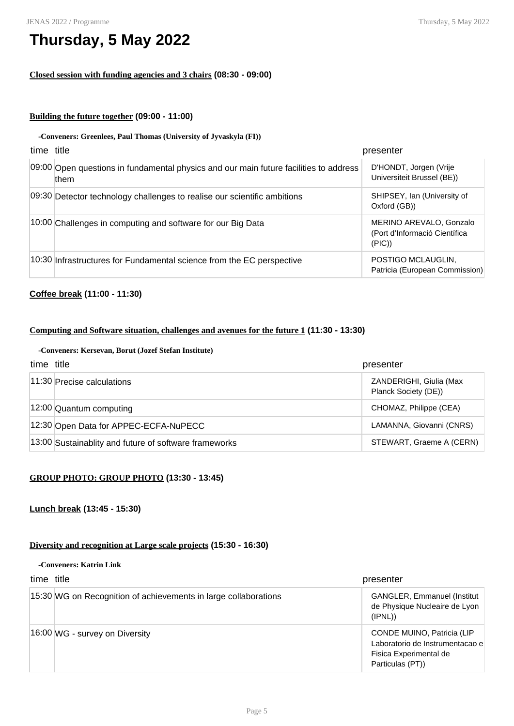#### JENAS 2022 / Programme

### **Thursday, 5 May 2022**

### **Closed session with funding agencies and 3 chairs (08:30 - 09:00)**

### **Building the future together (09:00 - 11:00)**

### **-Conveners: Greenlees, Paul Thomas (University of Jyvaskyla (FI))**

| time title |                                                                                               | presenter                                                          |
|------------|-----------------------------------------------------------------------------------------------|--------------------------------------------------------------------|
|            | 09:00 Open questions in fundamental physics and our main future facilities to address<br>them | D'HONDT, Jorgen (Vrije<br>Universiteit Brussel (BE))               |
|            | 09:30 Detector technology challenges to realise our scientific ambitions                      | SHIPSEY, Ian (University of<br>Oxford (GB))                        |
|            | 10:00 Challenges in computing and software for our Big Data                                   | MERINO AREVALO, Gonzalo<br>(Port d'Informació Científica<br>(PIC)) |
|            | 10:30 Infrastructures for Fundamental science from the EC perspective                         | POSTIGO MCLAUGLIN,<br>Patricia (European Commission)               |

### **Coffee break (11:00 - 11:30)**

### **Computing and Software situation, challenges and avenues for the future 1 (11:30 - 13:30)**

#### **-Conveners: Kersevan, Borut (Jozef Stefan Institute)**

| time title |                                                       | presenter                                       |
|------------|-------------------------------------------------------|-------------------------------------------------|
|            | $ 11:30 $ Precise calculations                        | ZANDERIGHI, Giulia (Max<br>Planck Society (DE)) |
|            | $ 12:00 $ Quantum computing                           | CHOMAZ, Philippe (CEA)                          |
|            | 12:30 Open Data for APPEC-ECFA-NuPECC                 | LAMANNA, Giovanni (CNRS)                        |
|            | 13:00 Sustainablity and future of software frameworks | STEWART, Graeme A (CERN)                        |

### **GROUP PHOTO: GROUP PHOTO (13:30 - 13:45)**

### **Lunch break (13:45 - 15:30)**

### **Diversity and recognition at Large scale projects (15:30 - 16:30)**

#### **-Conveners: Katrin Link**

| time title |                                                                 | presenter                                                                                                   |
|------------|-----------------------------------------------------------------|-------------------------------------------------------------------------------------------------------------|
|            | 15:30 WG on Recognition of achievements in large collaborations | <b>GANGLER, Emmanuel (Institut)</b><br>de Physique Nucleaire de Lyon<br>(IPNL)                              |
|            | $16:00$ WG - survey on Diversity                                | CONDE MUINO, Patricia (LIP<br>Laboratorio de Instrumentacao e<br>Fisica Experimental de<br>Particulas (PT)) |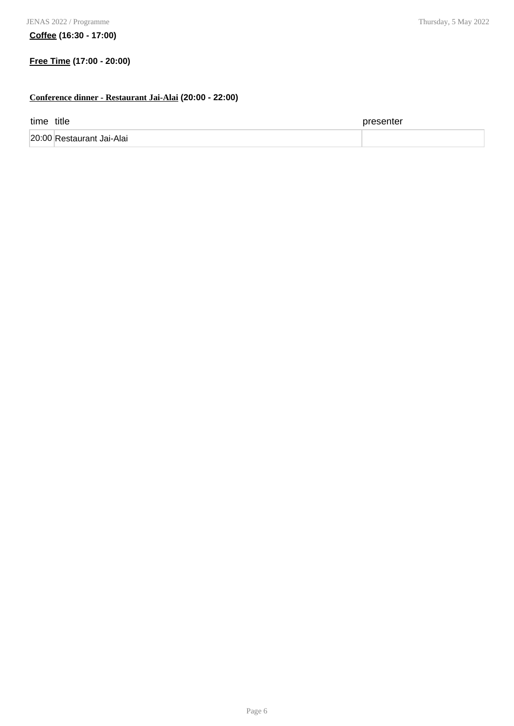**Coffee (16:30 - 17:00)**

### **Free Time (17:00 - 20:00)**

### **Conference dinner - Restaurant Jai-Alai (20:00 - 22:00)**

| time title |                           | presenter |
|------------|---------------------------|-----------|
|            | 20:00 Restaurant Jai-Alai |           |